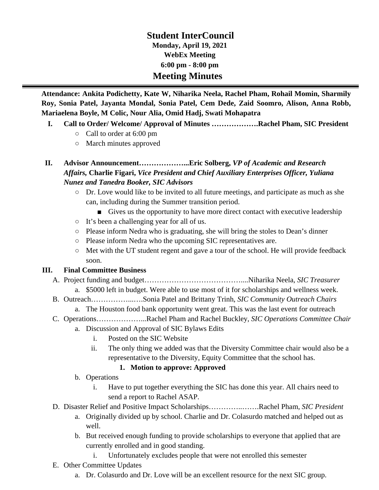# **Student InterCouncil Monday, April 19, 2021 WebEx Meeting 6:00 pm - 8:00 pm Meeting Minutes**

**Attendance: Ankita Podichetty, Kate W, Niharika Neela, Rachel Pham, Rohail Momin, Sharmily Roy, Sonia Patel, Jayanta Mondal, Sonia Patel, Cem Dede, Zaid Soomro, Alison, Anna Robb, Mariaelena Boyle, M Colic, Nour Alia, Omid Hadj, Swati Mohapatra**

- **I. Call to Order/ Welcome/ Approval of Minutes ……………….Rachel Pham, SIC President**
	- Call to order at 6:00 pm
	- March minutes approved
- **II. Advisor Announcement………………...Eric Solberg,** *VP of Academic and Research Affairs,* **Charlie Figari,** *Vice President and Chief Auxiliary Enterprises Officer, Yuliana Nunez and Tanedra Booker, SIC Advisors*
	- Dr. Love would like to be invited to all future meetings, and participate as much as she can, including during the Summer transition period.
		- Gives us the opportunity to have more direct contact with executive leadership
	- It's been a challenging year for all of us.
	- Please inform Nedra who is graduating, she will bring the stoles to Dean's dinner
	- Please inform Nedra who the upcoming SIC representatives are.
	- Met with the UT student regent and gave a tour of the school. He will provide feedback soon.

### **III. Final Committee Business**

- A. Project funding and budget…………………………………....Niharika Neela, *SIC Treasurer*
	- a. \$5000 left in budget. Were able to use most of it for scholarships and wellness week.
- B. Outreach……………...….Sonia Patel and Brittany Trinh, *SIC Community Outreach Chairs*
	- a. The Houston food bank opportunity went great. This was the last event for outreach
- C. Operations………………...Rachel Pham and Rachel Buckley, *SIC Operations Committee Chair*
	- a. Discussion and Approval of SIC Bylaws Edits
		- i. Posted on the SIC Website
		- ii. The only thing we added was that the Diversity Committee chair would also be a representative to the Diversity, Equity Committee that the school has.

### **1. Motion to approve: Approved**

- b. Operations
	- i. Have to put together everything the SIC has done this year. All chairs need to send a report to Rachel ASAP.
- D. Disaster Relief and Positive Impact Scholarships…………..…….Rachel Pham, *SIC President*
	- a. Originally divided up by school. Charlie and Dr. Colasurdo matched and helped out as well.
	- b. But received enough funding to provide scholarships to everyone that applied that are currently enrolled and in good standing.
		- i. Unfortunately excludes people that were not enrolled this semester
- E. Other Committee Updates
	- a. Dr. Colasurdo and Dr. Love will be an excellent resource for the next SIC group.